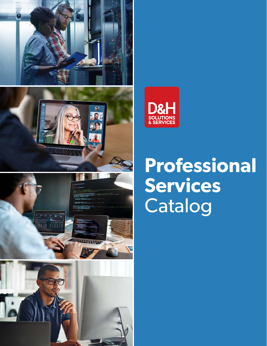









# **Professional Services**  Catalog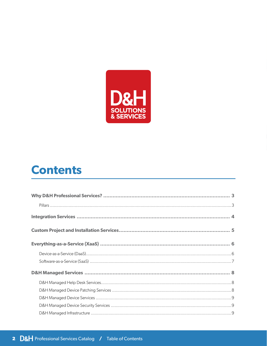

## **Contents**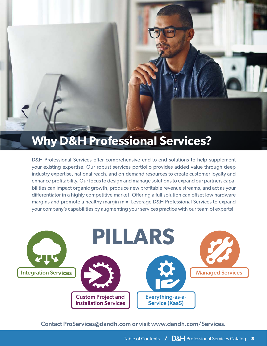## <span id="page-2-0"></span>**Why D&H Professional Services?**

D&H Professional Services offer comprehensive end-to-end solutions to help supplement your existing expertise. Our robust services portfolio provides added value through deep industry expertise, national reach, and on-demand resources to create customer loyalty and enhance profitability. Our focus to design and manage solutions to expand our partners capabilities can impact organic growth, produce new profitable revenue streams, and act as your differentiator in a highly competitive market. Offering a full solution can offset low hardware margins and promote a healthy margin mix. Leverage D&H Professional Services to expand your company's capabilities by augmenting your services practice with our team of experts!



Contact [ProServices@dandh.com](mailto:ProServices@dandh.com) or visit [www.dandh.com/Services.](http://www.dandh.com/DHSS)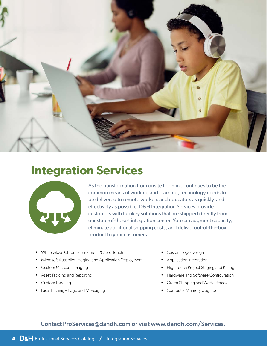<span id="page-3-0"></span>

## **Integration Services**



As the transformation from onsite to online continues to be the common means of working and learning, technology needs to be delivered to remote workers and educators as quickly and effectively as possible. D&H Integration Services provide customers with turnkey solutions that are shipped directly from our state-of-the-art integration center. You can augment capacity, eliminate additional shipping costs, and deliver out-of-the-box product to your customers.

- White Glove Chrome Enrollment & Zero Touch
- Microsoft Autopilot Imaging and Application Deployment
- Custom Microsoft Imaging
- Asset Tagging and Reporting
- Custom Labeling
- Laser Etching Logo and Messaging
- Custom Logo Design
- Application Integration
- High-touch Project Staging and Kitting
- Hardware and Software Configuration
- Green Shipping and Waste Removal
- Computer Memory Upgrade

## Contact [ProServices@dandh.com](mailto:ProServices@dandh.com) or visit [www.dandh.com/Services.](http://www.dandh.com/DHSS)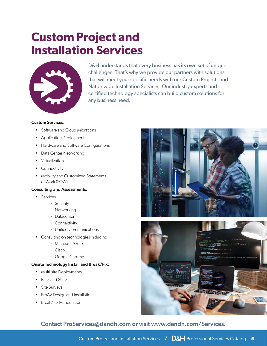## <span id="page-4-0"></span>**Custom Project and Installation Services**



D&H understands that every business has its own set of unique challenges. That's why we provide our partners with solutions that will meet your specific needs with our Custom Projects and Nationwide Installation Services. Our industry experts and certified technology specialists can build custom solutions for any business need.

#### Custom Services:

- Software and Cloud Migrations
- Application Deployment
- Hardware and Software Configurations
- Data Center Networking
- Virtualization
- Connectivity
- Mobility and Customized Statements of Work (SOW)

#### Consulting and Assessments:

- Services
	- · Security
	- · Networking
	- · Datacenter
	- · Connectivity
	- · Unified Communications
- Consulting on technologies including:
	- · Microsoft Azure
	- · Cisco
	- · Google Chrome

#### Onsite Technology Install and Break/Fix:

- Multi-site Deployments
- Rack and Stack
- Site Surveys
- ProAV Design and Installation
- Break/Fix Remediation



## Contact [ProServices@dandh.com](mailto:ProServices@dandh.com) or visit [www.dandh.com/Services.](http://www.dandh.com/DHSS)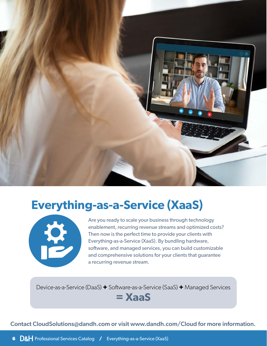<span id="page-5-0"></span>

## **Everything-as-a-Service (XaaS)**



Are you ready to scale your business through technology enablement, recurring revenue streams and optimized costs? Then now is the perfect time to provide your clients with Everything-as-a-Service (XaaS). By bundling hardware, software, and managed services, you can build customizable and comprehensive solutions for your clients that guarantee a recurring revenue stream.

Device-as-a-Service (DaaS) **+** Software-as-a-Service (SaaS) **+** Managed Services

**= XaaS**

Contact CloudSolutions[@dandh.com](mailto:DaaS@dandh.com) or visit [www.dandh.com/C](http://www.dandh.com/daas)loud for more information.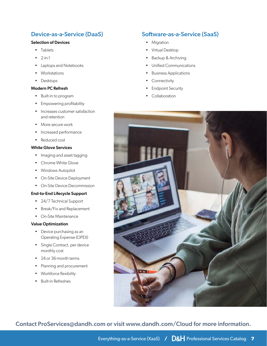## <span id="page-6-0"></span>Device-as-a-Service (DaaS)

#### Selection of Devices

- Tablets
- $2-in-1$
- Laptops and Notebooks
- Workstations
- Desktops

#### Modern PC Refresh

- Built-in to program
- Empowering profitability
- Increases customer satisfaction and retention
- More secure work
- Increased performance
- Reduced cost

#### White Glove Services

- Imaging and asset tagging
- Chrome White Glove
- Windows Autopilot
- On-Site Device Deployment
- On-Site Device Decommission

#### End-to-End Lifecycle Support

- 24/7 Technical Support
- Break/Fix and Replacement
- On-Site Maintenance

#### Value Optimization

- Device purchasing as an Operating Expense (OPEX)
- Single Contract, per device monthly cost
- 24 or 36-month terms
- Planning and procurement
- Workforce flexibility
- Built-in Refreshes

## Software-as-a-Service (SaaS)

- Migration
- Virtual Desktop
- Backup & Archiving
- Unified Communications
- Business Applications
- Connectivity
- Endpoint Security
- Collaboration



Contact [ProServices@dandh.com](mailto:ProServices@dandh.com) or visit [www.dandh.com/Cloud](http://www.dandh.com/cloud) for more information.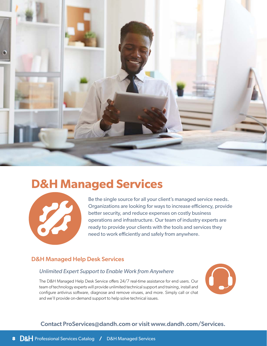<span id="page-7-0"></span>

## **D&H Managed Services**



Be the single source for all your client's managed service needs. Organizations are looking for ways to increase efficiency, provide better security, and reduce expenses on costly business operations and infrastructure. Our team of industry experts are ready to provide your clients with the tools and services they need to work efficiently and safely from anywhere.

### D&H Managed Help Desk Services

### *Unlimited Expert Support to Enable Work from Anywhere*

The D&H Managed Help Desk Service offers 24/7 real-time assistance for end users. Our team of technology experts will provide unlimited technical support and training, install and configure antivirus software, diagnose and remove viruses, and more. Simply call or chat and we'll provide on-demand support to help solve technical issues.



## Contact [ProServices@dandh.com](mailto:ProServices@dandh.com) or visit [www.dandh.com/Services.](http://www.dandh.com/DHSS)